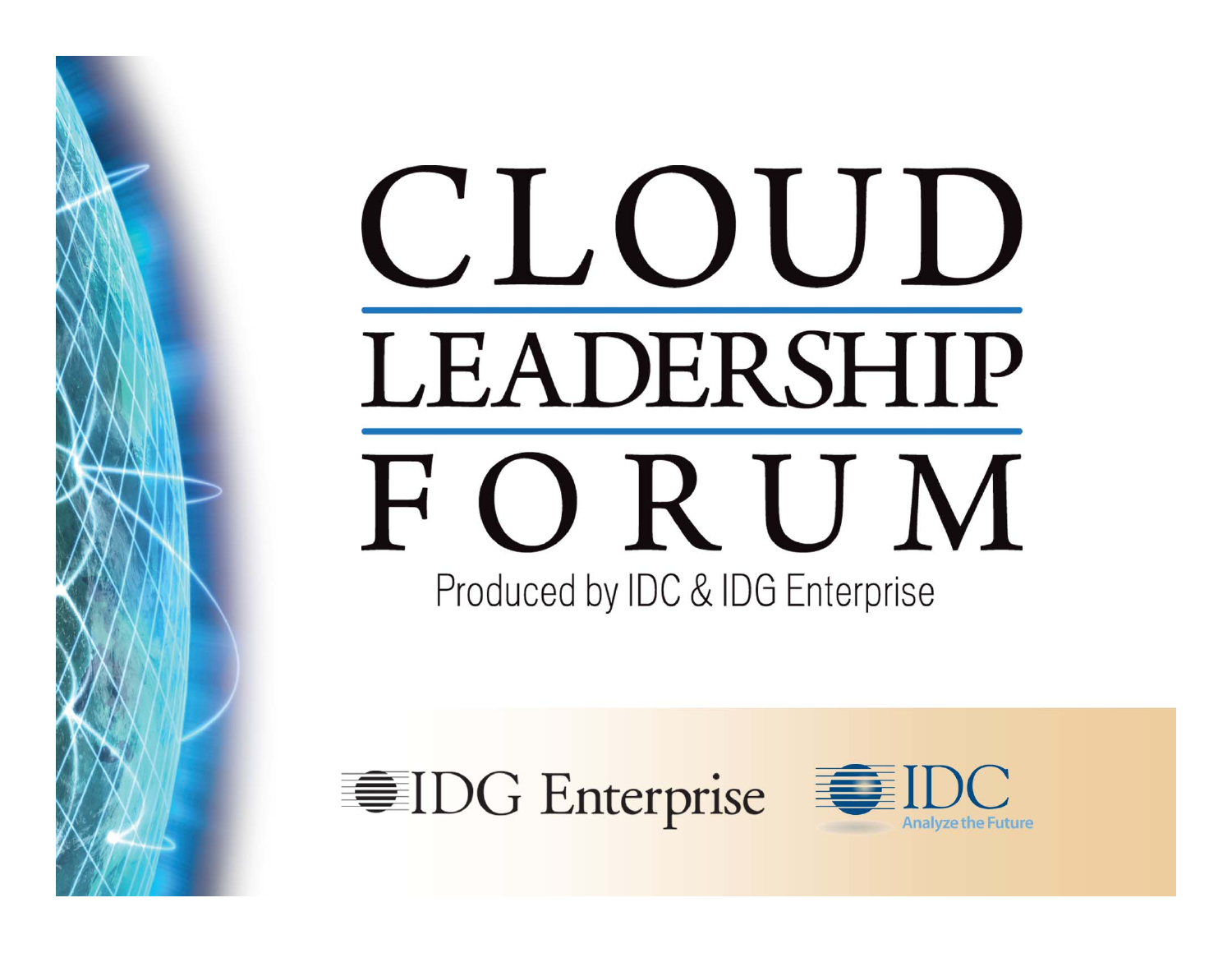# CLOUD LEADERSHIP FORUM Produced by IDC & IDG Enterprise



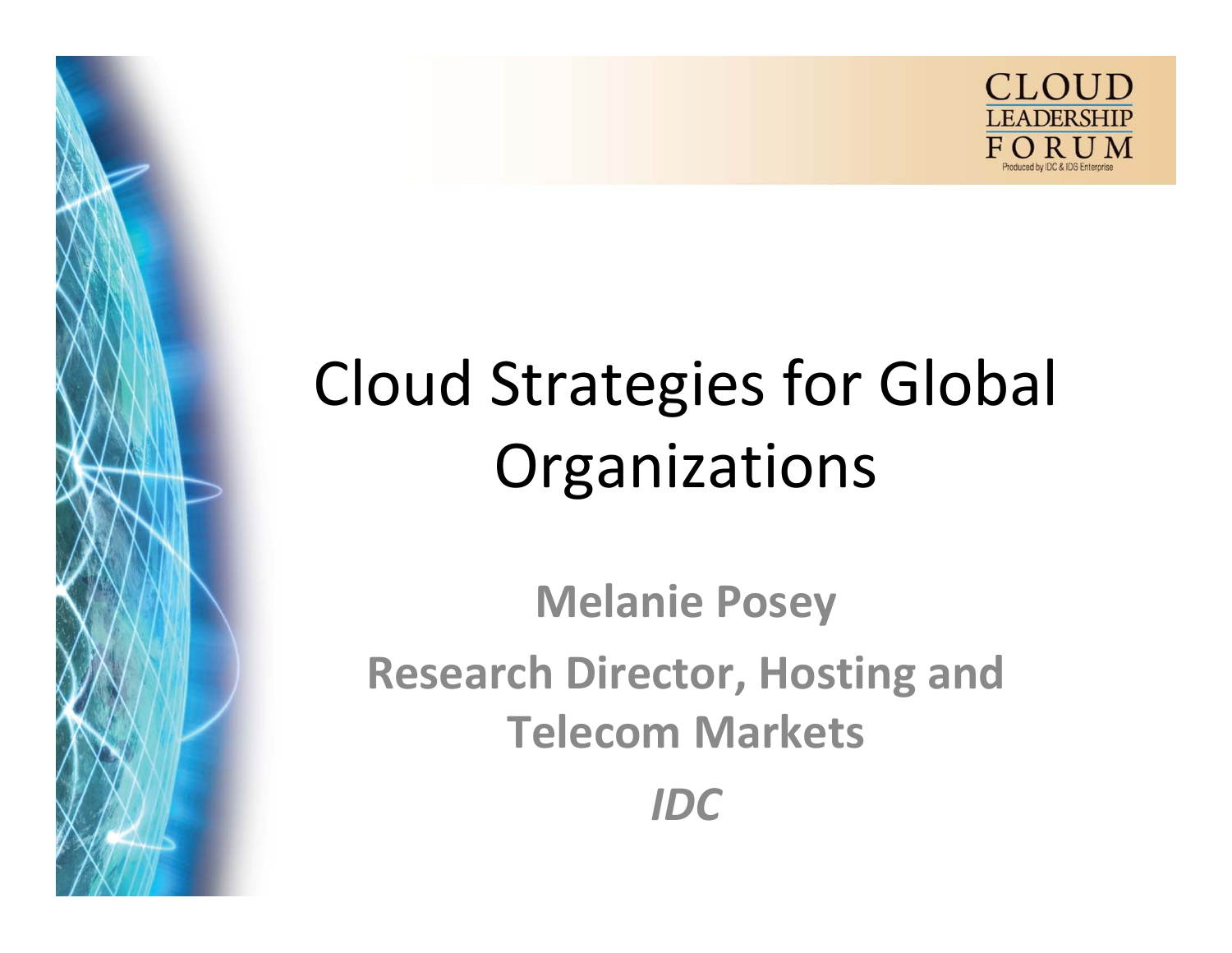

# Cloud Strategies for Global **Organizations**

**Melanie Posey Research Director, Hosting and Telecom Markets** *IDC*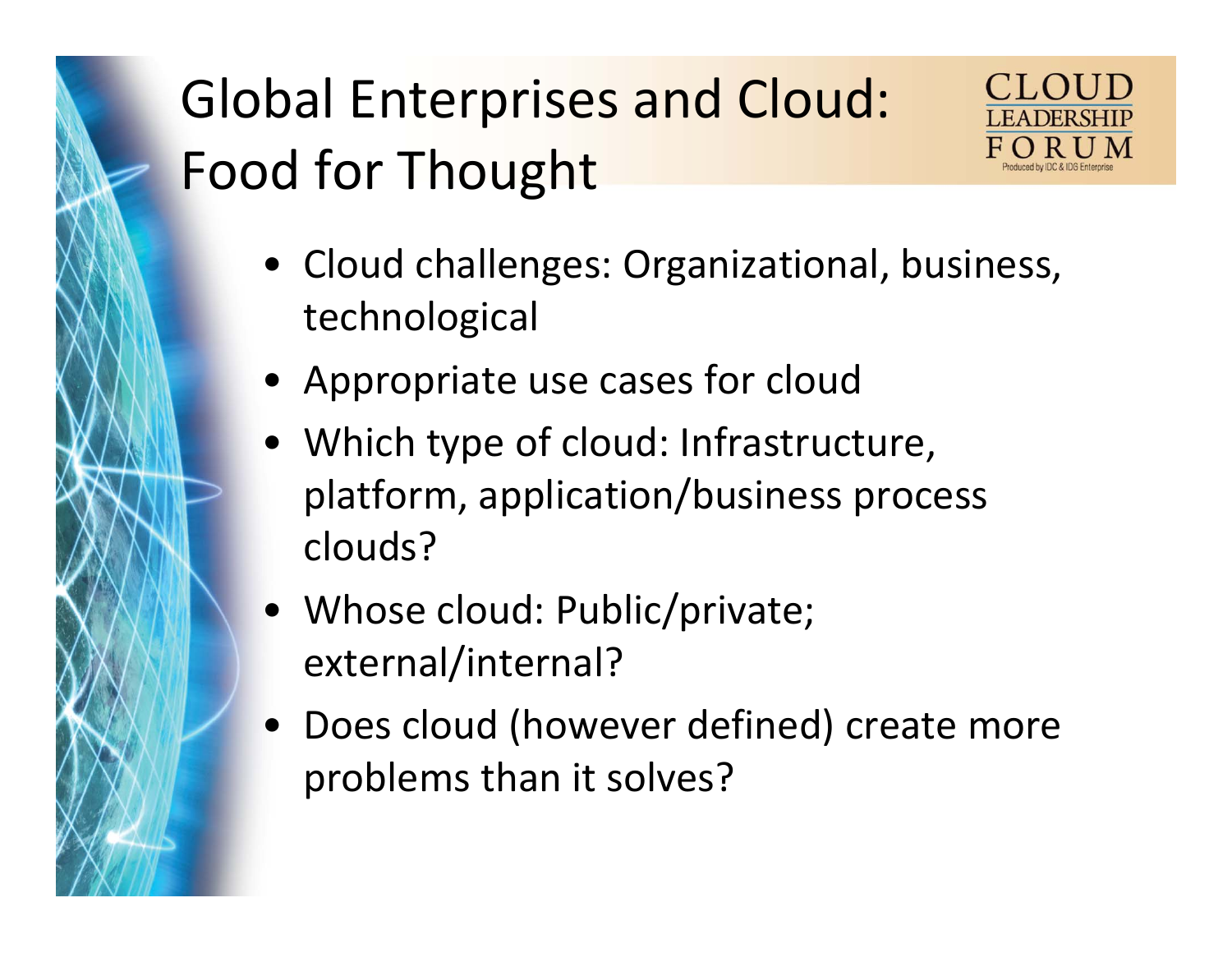## Global Enterprises and Cloud: Food for Thought



- Cloud challenges: Organizational, business, technological
- Appropriate use cases for cloud
- Which type of cloud: Infrastructure, platform, application/business process clouds?
- Whose cloud: Public/private; external/internal?
- Does cloud (however defined) create more problems than it solves?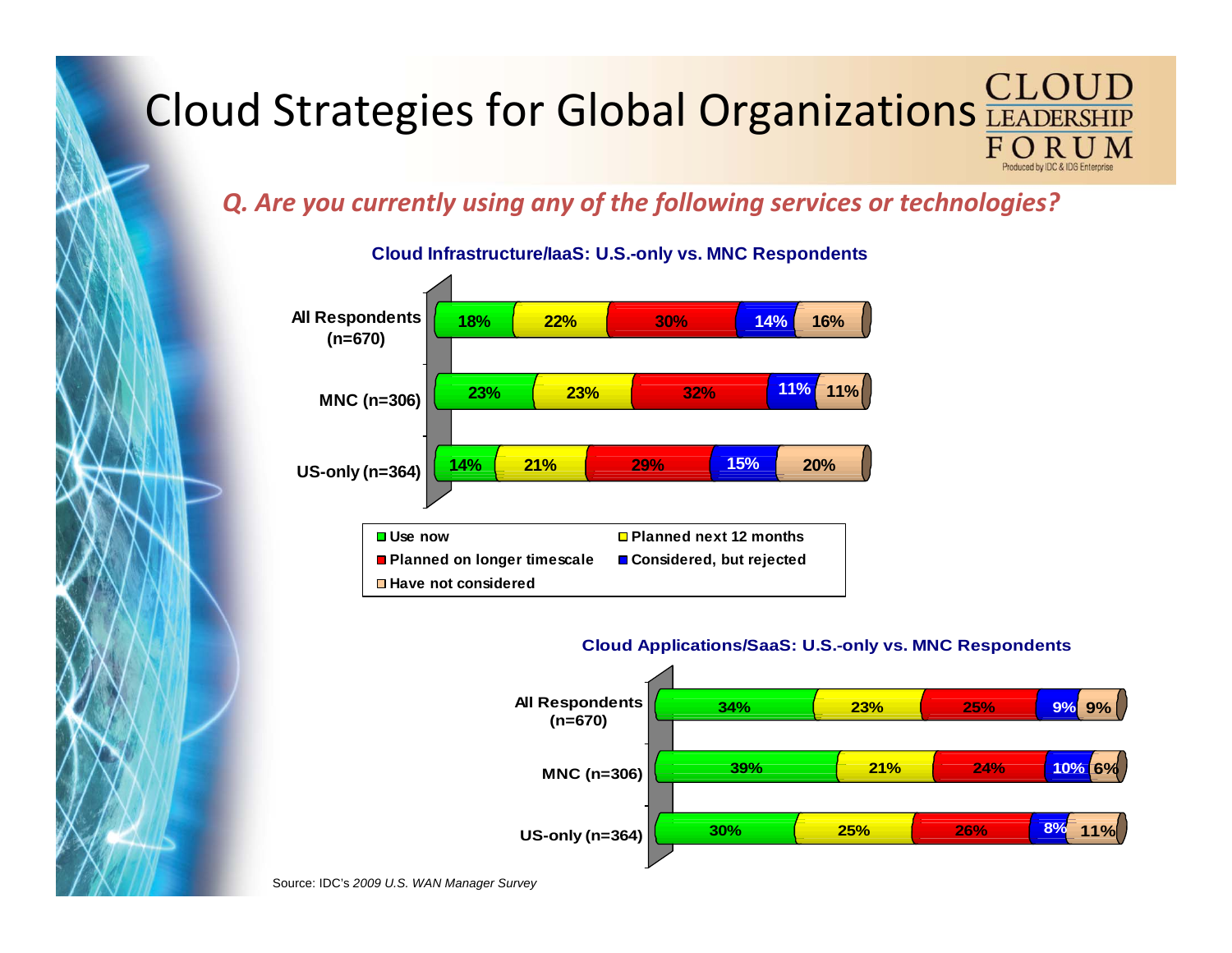### Cloud Strategies for Global Organizations FORUM

#### *Q. Are you currently using any of the following services or technologies?*



#### **Cloud Infrastructure/IaaS: U.S.-only vs. MNC Respondents**

#### **Cloud Applications/SaaS: U.S.-only vs. MNC Respondents**



Source: IDC's *2009 U.S. WAN Manager Survey*